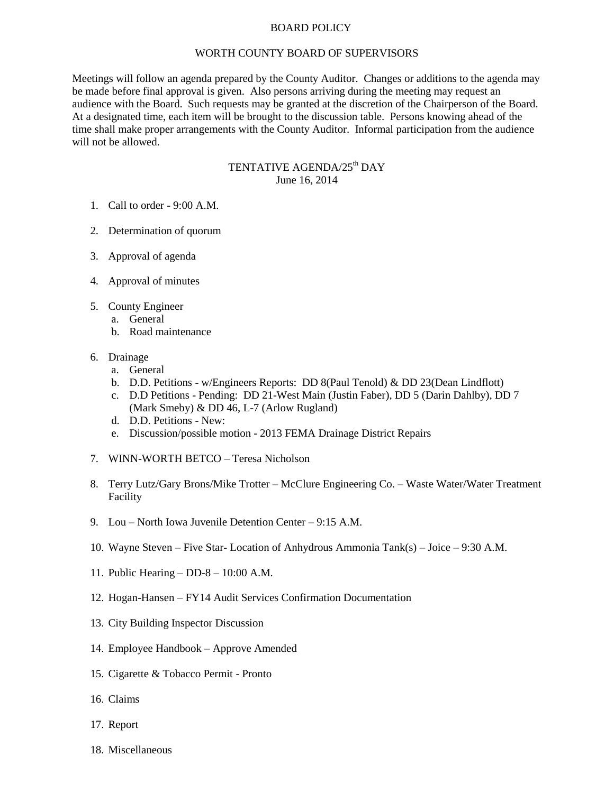## BOARD POLICY

## WORTH COUNTY BOARD OF SUPERVISORS

Meetings will follow an agenda prepared by the County Auditor. Changes or additions to the agenda may be made before final approval is given. Also persons arriving during the meeting may request an audience with the Board. Such requests may be granted at the discretion of the Chairperson of the Board. At a designated time, each item will be brought to the discussion table. Persons knowing ahead of the time shall make proper arrangements with the County Auditor. Informal participation from the audience will not be allowed.

## TENTATIVE AGENDA/25<sup>th</sup> DAY June 16, 2014

- 1. Call to order 9:00 A.M.
- 2. Determination of quorum
- 3. Approval of agenda
- 4. Approval of minutes
- 5. County Engineer
	- a. General
	- b. Road maintenance
- 6. Drainage
	- a. General
	- b. D.D. Petitions w/Engineers Reports: DD 8(Paul Tenold) & DD 23(Dean Lindflott)
	- c. D.D Petitions Pending: DD 21-West Main (Justin Faber), DD 5 (Darin Dahlby), DD 7 (Mark Smeby) & DD 46, L-7 (Arlow Rugland)
	- d. D.D. Petitions New:
	- e. Discussion/possible motion 2013 FEMA Drainage District Repairs
- 7. WINN-WORTH BETCO Teresa Nicholson
- 8. Terry Lutz/Gary Brons/Mike Trotter McClure Engineering Co. Waste Water/Water Treatment Facility
- 9. Lou North Iowa Juvenile Detention Center 9:15 A.M.
- 10. Wayne Steven Five Star- Location of Anhydrous Ammonia Tank(s) Joice 9:30 A.M.
- 11. Public Hearing DD-8 10:00 A.M.
- 12. Hogan-Hansen FY14 Audit Services Confirmation Documentation
- 13. City Building Inspector Discussion
- 14. Employee Handbook Approve Amended
- 15. Cigarette & Tobacco Permit Pronto
- 16. Claims
- 17. Report
- 18. Miscellaneous